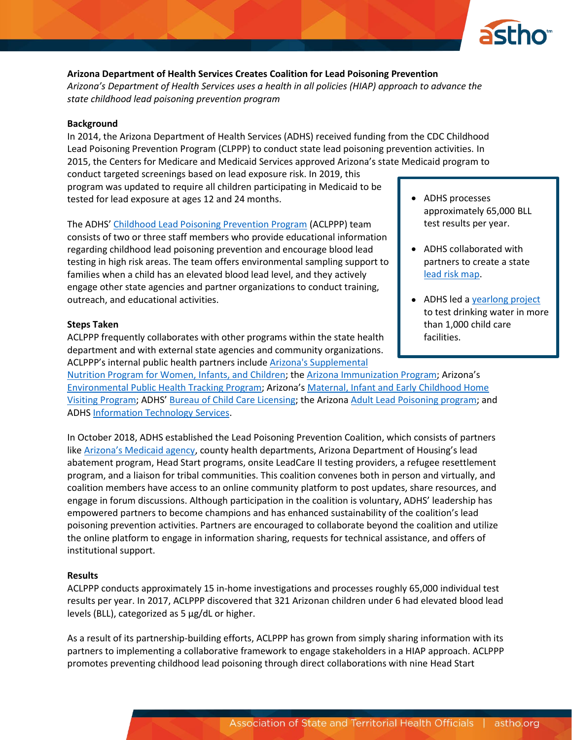

# **Arizona Department of Health Services Creates Coalition for Lead Poisoning Prevention** *Arizona's Department of Health Services uses a health in all policies (HIAP) approach to advance the state childhood lead poisoning prevention program*

#### **Background**

In 2014, the Arizona Department of Health Services (ADHS) received funding from the CDC Childhood Lead Poisoning Prevention Program (CLPPP) to conduct state lead poisoning prevention activities. In 2015, the Centers for Medicare and Medicaid Services approved Arizona's state Medicaid program to

conduct targeted screenings based on lead exposure risk. In 2019, this program was updated to require all children participating in Medicaid to be tested for lead exposure at ages 12 and 24 months.

The ADHS' [Childhood Lead Poisoning Prevention Program](https://www.azdhs.gov/preparedness/epidemiology-disease-control/lead-poisoning/index.php) (ACLPPP) team consists of two or three staff members who provide educational information regarding childhood lead poisoning prevention and encourage blood lead testing in high risk areas. The team offers environmental sampling support to families when a child has an elevated blood lead level, and they actively engage other state agencies and partner organizations to conduct training, outreach, and educational activities.

#### **Steps Taken**

ACLPPP frequently collaborates with other programs within the state health department and with external state agencies and community organizations. ACLPPP's internal public health partners include [Arizona's Supplemental](https://www.azdhs.gov/prevention/azwic/index.php) 

[Nutrition Program for Women, Infants, and Children;](https://www.azdhs.gov/prevention/azwic/index.php) the Arizona [Immunization](https://azdhs.gov/preparedness/epidemiology-disease-control/immunization/index.php) Program; Arizona's [Environmental Public Health Tracking Program](https://www.azdhs.gov/preparedness/epidemiology-disease-control/environmental-health/environmental-public-health-tracking/index.php); Arizona's [Maternal, Infant and Early Childhood Home](https://www.azdhs.gov/prevention/womens-childrens-health/childrens-health/index.php#home-visiting)  [Visiting Program](https://www.azdhs.gov/prevention/womens-childrens-health/childrens-health/index.php#home-visiting); ADHS' [Bureau of Child](https://www.azdhs.gov/licensing/childcare-facilities/index.php) Care Licensing; the Arizon[a Adult Lead Poisoning](https://www.azdhs.gov/preparedness/epidemiology-disease-control/lead-poisoning/index.php#adult-lead-poisoning) program; and ADH[S Information Technology](https://azdhs.gov/operations/index.php#information-technology) Services.

In October 2018, ADHS established the Lead Poisoning Prevention Coalition, which consists of partners like [Arizona's Medicaid agency](https://www.azahcccs.gov/), county health departments, Arizona Department of Housing's lead abatement program, Head Start programs, onsite LeadCare II testing providers, a refugee resettlement program, and a liaison for tribal communities. This coalition convenes both in person and virtually, and coalition members have access to an online community platform to post updates, share resources, and engage in forum discussions. Although participation in the coalition is voluntary, ADHS' leadership has empowered partners to become champions and has enhanced sustainability of the coalition's lead poisoning prevention activities. Partners are encouraged to collaborate beyond the coalition and utilize the online platform to engage in information sharing, requests for technical assistance, and offers of institutional support.

#### **Results**

ACLPPP conducts approximately 15 in-home investigations and processes roughly 65,000 individual test results per year. In 2017, ACLPPP discovered that 321 Arizonan children under 6 had elevated blood lead levels (BLL), categorized as 5 µg/dL or higher.

As a result of its partnership-building efforts, ACLPPP has grown from simply sharing information with its partners to implementing a collaborative framework to engage stakeholders in a HIAP approach. ACLPPP promotes preventing childhood lead poisoning through direct collaborations with nine Head Start

- ADHS processes approximately 65,000 BLL test results per year.
- ADHS collaborated with partners to create a state [lead risk map.](https://www.azdhs.gov/gis/childhood-lead/)
- ADHS led [a yearlong project](https://www.azdhs.gov/licensing/childcare-facilities/water-screening/index.php) to test drinking water in more than 1,000 child care facilities.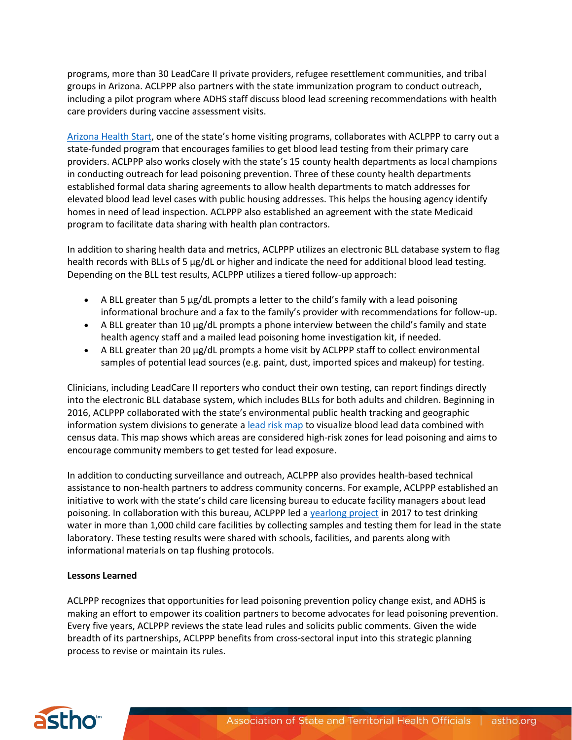programs, more than 30 LeadCare II private providers, refugee resettlement communities, and tribal groups in Arizona. ACLPPP also partners with the state immunization program to conduct outreach, including a pilot program where ADHS staff discuss blood lead screening recommendations with health care providers during vaccine assessment visits.

[Arizona Health Start,](https://strongfamiliesaz.com/program/arizona-health-start/) one of the state's home visiting programs, collaborates with ACLPPP to carry out a state-funded program that encourages families to get blood lead testing from their primary care providers. ACLPPP also works closely with the state's 15 county health departments as local champions in conducting outreach for lead poisoning prevention. Three of these county health departments established formal data sharing agreements to allow health departments to match addresses for elevated blood lead level cases with public housing addresses. This helps the housing agency identify homes in need of lead inspection. ACLPPP also established an agreement with the state Medicaid program to facilitate data sharing with health plan contractors.

In addition to sharing health data and metrics, ACLPPP utilizes an electronic BLL database system to flag health records with BLLs of 5 µg/dL or higher and indicate the need for additional blood lead testing. Depending on the BLL test results, ACLPPP utilizes a tiered follow-up approach:

- A BLL greater than 5  $\mu$ g/dL prompts a letter to the child's family with a lead poisoning informational brochure and a fax to the family's provider with recommendations for follow-up.
- A BLL greater than 10  $\mu$ g/dL prompts a phone interview between the child's family and state health agency staff and a mailed lead poisoning home investigation kit, if needed.
- A BLL greater than 20 µg/dL prompts a home visit by ACLPPP staff to collect environmental samples of potential lead sources (e.g. paint, dust, imported spices and makeup) for testing.

Clinicians, including LeadCare II reporters who conduct their own testing, can report findings directly into the electronic BLL database system, which includes BLLs for both adults and children. Beginning in 2016, ACLPPP collaborated with the state's environmental public health tracking and geographic information system divisions to generate a [lead risk map](https://www.azdhs.gov/gis/childhood-lead/) to visualize blood lead data combined with census data. This map shows which areas are considered high-risk zones for lead poisoning and aims to encourage community members to get tested for lead exposure.

In addition to conducting surveillance and outreach, ACLPPP also provides health-based technical assistance to non-health partners to address community concerns. For example, ACLPPP established an initiative to work with the state's child care licensing bureau to educate facility managers about lead poisoning. In collaboration with this bureau, ACLPPP led a [yearlong project](https://www.azdhs.gov/licensing/childcare-facilities/water-screening/index.php) in 2017 to test drinking water in more than 1,000 child care facilities by collecting samples and testing them for lead in the state laboratory. These testing results were shared with schools, facilities, and parents along with informational materials on tap flushing protocols.

# **Lessons Learned**

ACLPPP recognizes that opportunities for lead poisoning prevention policy change exist, and ADHS is making an effort to empower its coalition partners to become advocates for lead poisoning prevention. Every five years, ACLPPP reviews the state lead rules and solicits public comments. Given the wide breadth of its partnerships, ACLPPP benefits from cross-sectoral input into this strategic planning process to revise or maintain its rules.